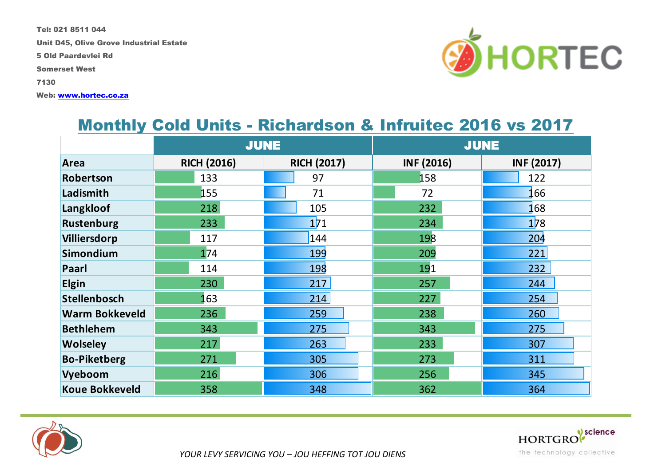Tel: 021 8511 044

Unit D45, Olive Grove Industrial Estate

5 Old Paardevlei Rd

Somerset West

7130

Web: www.hortec.co.za



#### Monthly Cold Units - Richardson & Infruitec 2016 vs 2017

|                       |                    | <b>JUNE</b>        | <b>JUNE</b>       |                   |  |
|-----------------------|--------------------|--------------------|-------------------|-------------------|--|
| Area                  | <b>RICH (2016)</b> | <b>RICH (2017)</b> | <b>INF (2016)</b> | <b>INF (2017)</b> |  |
| Robertson             | 133                | 97                 | 158               | 122               |  |
| Ladismith             | 155                | 71                 | 72                | 166               |  |
| Langkloof             | 218                | 105                | 232               | 168               |  |
| <b>Rustenburg</b>     | 233                | 1 <sub>71</sub>    | 234               | <b>178</b>        |  |
| Villiersdorp          | 117                | 144                | 198               | 204               |  |
| Simondium             | 174                | <b>199</b>         | 209               | 221               |  |
| Paarl                 | 114                | 198                | 191               | 232               |  |
| <b>Elgin</b>          | 230                | 217                | 257               | 244               |  |
| <b>Stellenbosch</b>   | 163                | 214                | 227               | 254               |  |
| <b>Warm Bokkeveld</b> | 236                | 259                | 238               | 260               |  |
| <b>Bethlehem</b>      | 343                | 275                | 343               | 275               |  |
| <b>Wolseley</b>       | 217                | 263                | 233               | 307               |  |
| <b>Bo-Piketberg</b>   | 271                | 305                | 273               | 311               |  |
| Vyeboom               | 216                | 306                | 256               | 345               |  |
| <b>Koue Bokkeveld</b> | 358                | 348                | 362               | 364               |  |



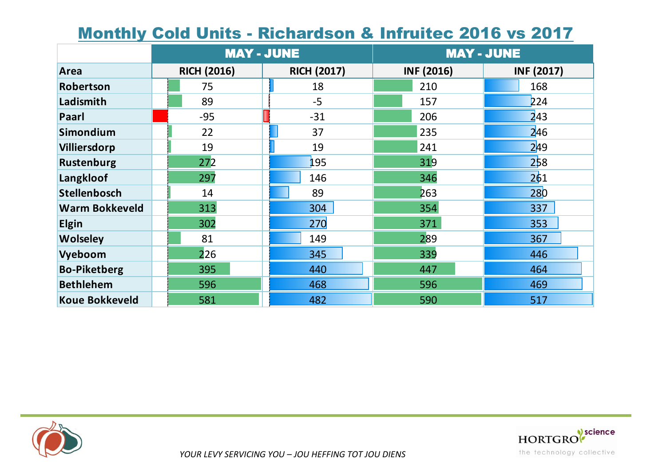| <u> MOININ COM OMIS - NICHANDON &amp; MINUICC ZUTU VS ZUTT</u> |                    |                    |                   |                   |  |  |  |  |  |
|----------------------------------------------------------------|--------------------|--------------------|-------------------|-------------------|--|--|--|--|--|
|                                                                |                    | <b>MAY - JUNE</b>  |                   | <b>MAY - JUNE</b> |  |  |  |  |  |
| <b>Area</b>                                                    | <b>RICH (2016)</b> | <b>RICH (2017)</b> | <b>INF (2016)</b> | <b>INF (2017)</b> |  |  |  |  |  |
| Robertson                                                      | 75                 | 18                 | 210               | 168               |  |  |  |  |  |
| Ladismith                                                      | 89                 | $-5$               | 157               | 224               |  |  |  |  |  |
| Paarl                                                          | $-95$              | $-31$              | 206               | 243               |  |  |  |  |  |
| <b>Simondium</b>                                               | 22                 | 37                 | 235               | 246               |  |  |  |  |  |
| Villiersdorp                                                   | 19                 | 19                 | 241               | 249               |  |  |  |  |  |
| <b>Rustenburg</b>                                              | 272                | 195                | 319               | 258               |  |  |  |  |  |
| Langkloof                                                      | 297                | 146                | 346               | 261               |  |  |  |  |  |
| <b>Stellenbosch</b>                                            | 14                 | 89                 | 263               | 280               |  |  |  |  |  |
| <b>Warm Bokkeveld</b>                                          | 313                | 304                | 354               | 337               |  |  |  |  |  |
| <b>Elgin</b>                                                   | 302                | 270                | 371               | 353               |  |  |  |  |  |
| <b>Wolseley</b>                                                | 81                 | 149                | 289               | 367               |  |  |  |  |  |
| Vyeboom                                                        | 226                | 345                | 339               | 446               |  |  |  |  |  |
| <b>Bo-Piketberg</b>                                            | 395                | 440                | 447               | 464               |  |  |  |  |  |
| <b>Bethlehem</b>                                               | 596                | 468                | 596               | 469               |  |  |  |  |  |
| <b>Koue Bokkeveld</b>                                          | 581                | 482                | 590               | 517               |  |  |  |  |  |

## Monthly Cold Unite - Dichardson & Infruitec 2016 vs 2017



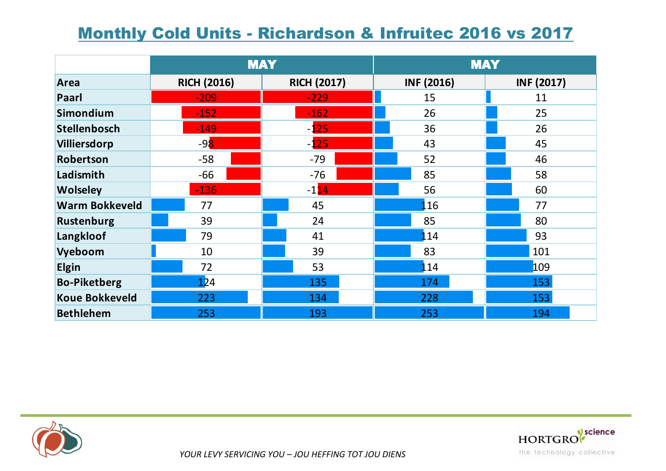## Monthly Cold Units - Richardson & Infruitec 2016 vs 2017

|                       |                    | <b>MAY</b>         | <b>MAY</b>        |                   |  |
|-----------------------|--------------------|--------------------|-------------------|-------------------|--|
| Area                  | <b>RICH (2016)</b> | <b>RICH (2017)</b> | <b>INF (2016)</b> | <b>INF (2017)</b> |  |
| Paarl                 | $-209$             | $-229$             | 15                |                   |  |
| Simondium             | $-152$             | $-162$             | 26                | 25                |  |
| <b>Stellenbosch</b>   | $-149$             | $-125$             | 36                | 26                |  |
| Villiersdorp          | $-98$              | $-125$             | 43                | 45                |  |
| Robertson             | $-58$              | $-79$              | 52                | 46                |  |
| Ladismith             | $-66$              | $-76$              | 85                | 58                |  |
| <b>Wolseley</b>       | $-136$             | $-114$             | 56                | 60                |  |
| <b>Warm Bokkeveld</b> | 77                 | 45                 | 116               | 77                |  |
| Rustenburg            | 39                 | 24                 | 85                | 80                |  |
| Langkloof             | 79                 | 41                 | 114               | 93                |  |
| Vyeboom               | 10                 | 39                 | 83                |                   |  |
| <b>Elgin</b>          | 72                 | 53                 | <b>1</b> 14       | 109               |  |
| <b>Bo-Piketberg</b>   | 124                | 135                | 174               | 153               |  |
| <b>Koue Bokkeveld</b> | 223                | 134                | 228               | 153               |  |
| <b>Bethlehem</b>      | 253                | 193<br>253         |                   | 194               |  |



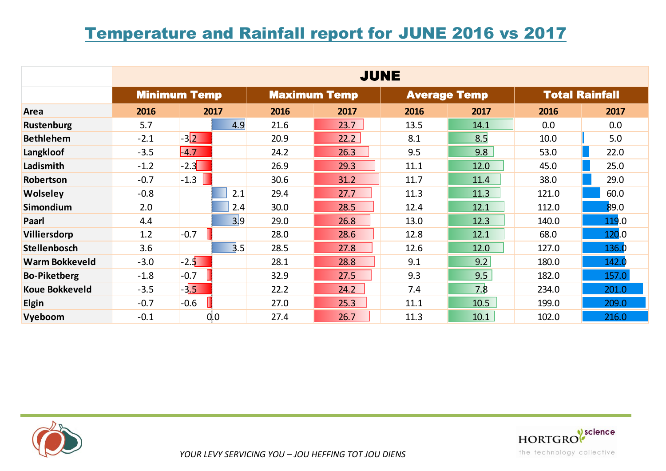### Temperature and Rainfall report for JUNE 2016 vs 2017

|                       | <b>JUNE</b> |                     |      |                     |      |                     |       |                       |  |
|-----------------------|-------------|---------------------|------|---------------------|------|---------------------|-------|-----------------------|--|
|                       |             | <b>Minimum Temp</b> |      | <b>Maximum Temp</b> |      | <b>Average Temp</b> |       | <b>Total Rainfall</b> |  |
| Area                  | 2016        | 2017                | 2016 | 2017                | 2016 | 2017                | 2016  | 2017                  |  |
| <b>Rustenburg</b>     | 5.7         | 4.9                 | 21.6 | 23.7                | 13.5 | 14.1                | 0.0   | 0.0                   |  |
| <b>Bethlehem</b>      | $-2.1$      | $-3\sqrt{2}$        | 20.9 | 22.2                | 8.1  | 8.5                 | 10.0  | 5.0                   |  |
| Langkloof             | $-3.5$      | $-4.7$              | 24.2 | 26.3                | 9.5  | 9.8                 | 53.0  | 22.0                  |  |
| Ladismith             | $-1.2$      | $-2.3$              | 26.9 | 29.3                | 11.1 | 12.0                | 45.0  | 25.0                  |  |
| Robertson             | $-0.7$      | $\blacksquare$ -1.3 | 30.6 | 31.2                | 11.7 | 11.4                | 38.0  | 29.0                  |  |
| <b>Wolseley</b>       | $-0.8$      | 2.1                 | 29.4 | 27.7                | 11.3 | 11.3                | 121.0 | 60.0                  |  |
| Simondium             | 2.0         | 2.4                 | 30.0 | 28.5                | 12.4 | 12.1                | 112.0 | 89.0                  |  |
| Paarl                 | 4.4         | 3 9                 | 29.0 | 26.8                | 13.0 | 12.3                | 140.0 | 119.0                 |  |
| Villiersdorp          | 1.2         | $-0.7$              | 28.0 | 28.6                | 12.8 | 12.1                | 68.0  | 120.0                 |  |
| <b>Stellenbosch</b>   | 3.6         | 3.5                 | 28.5 | 27.8                | 12.6 | 12.0                | 127.0 | 136.0                 |  |
| <b>Warm Bokkeveld</b> | $-3.0$      | $-2.5$              | 28.1 | 28.8                | 9.1  | 9.2                 | 180.0 | 142.0                 |  |
| <b>Bo-Piketberg</b>   | $-1.8$      | $-0.7$              | 32.9 | 27.5                | 9.3  | 9.5                 | 182.0 | 157.0                 |  |
| <b>Koue Bokkeveld</b> | $-3.5$      | $-3.5$              | 22.2 | 24.2                | 7.4  | 7.8                 | 234.0 | 201.0                 |  |
| <b>Elgin</b>          | $-0.7$      | $-0.6$              | 27.0 | 25.3                | 11.1 | 10.5                | 199.0 | 209.0                 |  |
| Vyeboom               | $-0.1$      | 0,0                 | 27.4 | 26.7                | 11.3 | 10.1                | 102.0 | 216.0                 |  |